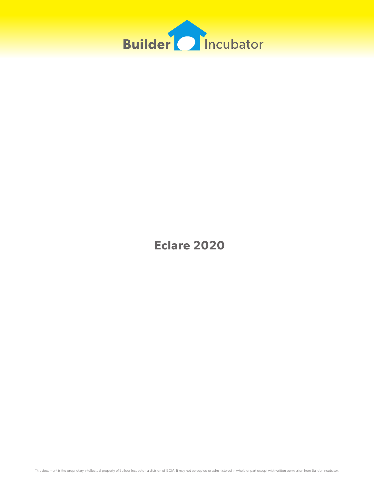

**Eclare 2020**

This document is the proprietary intellectual property of Builder Incubator. a division of ISCM. It may not be copied or administered in whole or part except with written permission from Builder Incubator.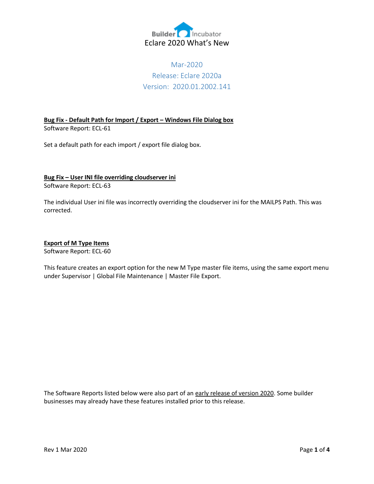

# Mar-2020 Release: Eclare 2020a Version: 2020.01.2002.141

**Bug Fix - Default Path for Import / Export – Windows File Dialog box** Software Report: ECL-61

Set a default path for each import / export file dialog box.

#### **Bug Fix – User INI file overriding cloudserver ini** Software Report: ECL-63

The individual User ini file was incorrectly overriding the cloudserver ini for the MAILPS Path. This was corrected.

#### **Export of M Type Items**

Software Report: ECL-60

This feature creates an export option for the new M Type master file items, using the same export menu under Supervisor | Global File Maintenance | Master File Export.

The Software Reports listed below were also part of an early release of version 2020. Some builder businesses may already have these features installed prior to this release.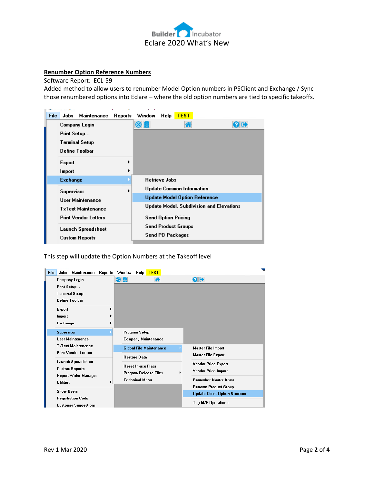

#### **Renumber Option Reference Numbers**

Software Report: ECL-59

Added method to allow users to renumber Model Option numbers in PSClient and Exchange / Sync those renumbered options into Eclare – where the old option numbers are tied to specific takeoffs.

| <b>File</b> | Jobs                                        | Maintenance   | ٠<br>Reports | z<br>٠<br>Window                                | Help                       | <b>TEST</b>                      |  |  |  |  |
|-------------|---------------------------------------------|---------------|--------------|-------------------------------------------------|----------------------------|----------------------------------|--|--|--|--|
|             |                                             | Company Login |              |                                                 |                            |                                  |  |  |  |  |
|             | Print Setup                                 |               |              |                                                 |                            |                                  |  |  |  |  |
|             | Terminal Setup                              |               |              |                                                 |                            |                                  |  |  |  |  |
|             | Define Toolbar                              |               |              |                                                 |                            |                                  |  |  |  |  |
|             | <b>Export</b>                               |               |              |                                                 |                            |                                  |  |  |  |  |
|             | Import                                      |               |              |                                                 |                            |                                  |  |  |  |  |
|             | <b>Exchange</b>                             |               |              |                                                 | <b>Retrieve Jobs</b>       |                                  |  |  |  |  |
|             | Supervisor                                  |               |              |                                                 |                            | <b>Update Common Information</b> |  |  |  |  |
|             | User Maintenance                            |               |              | <b>Update Model Option Reference</b>            |                            |                                  |  |  |  |  |
|             | <b>TxText Maintenance</b>                   |               |              | <b>Update Model, Subdivision and Elevations</b> |                            |                                  |  |  |  |  |
|             | <b>Print Vendor Letters</b>                 |               |              |                                                 | <b>Send Option Pricing</b> |                                  |  |  |  |  |
|             | Launch Spreadsheet<br><b>Custom Reports</b> |               |              |                                                 |                            | <b>Send Product Groups</b>       |  |  |  |  |
|             |                                             |               |              |                                                 | <b>Send PO Packages</b>    |                                  |  |  |  |  |

This step will update the Option Numbers at the Takeoff level

| File | Maintenance<br>Jobs         | Reports | Window                                             | Help           | <b>TEST</b>                    |                            |                                     |
|------|-----------------------------|---------|----------------------------------------------------|----------------|--------------------------------|----------------------------|-------------------------------------|
|      | Company Login               |         | 0 E                                                |                |                                |                            | $\bullet$                           |
|      | Print Setup                 |         |                                                    |                |                                |                            |                                     |
|      | Terminal Setup              |         |                                                    |                |                                |                            |                                     |
|      | Define Toolbar              |         |                                                    |                |                                |                            |                                     |
|      | <b>Export</b>               |         |                                                    |                |                                |                            |                                     |
|      | Import                      | ٠       |                                                    |                |                                |                            |                                     |
|      | Exchange                    |         |                                                    |                |                                |                            |                                     |
|      | <b>Supervisor</b>           |         |                                                    | Program Setup  |                                |                            |                                     |
|      | <b>User Maintenance</b>     |         |                                                    |                | Company Maintenance            |                            |                                     |
|      | <b>TxText Maintenance</b>   |         |                                                    |                | <b>Global File Maintenance</b> |                            | <b>Master File Import</b>           |
|      | <b>Print Vendor Letters</b> |         | <b>Restore Data</b>                                |                |                                | <b>Master File Export</b>  |                                     |
|      | Launch Spreadsheet          |         | <b>Reset In-use Flags</b><br>Program Release Files |                |                                | <b>Vendor Price Export</b> |                                     |
|      | <b>Custom Reports</b>       |         |                                                    |                | Vendor Price Import            |                            |                                     |
|      | Report Writer Manager       |         |                                                    | Technical Menu |                                |                            | <b>Renumber Master Items</b>        |
|      | <b>Utilities</b>            | ١       |                                                    |                |                                |                            | Rename Product Group                |
|      | <b>Show Users</b>           |         |                                                    |                |                                |                            | <b>Update Client Option Numbers</b> |
|      | <b>Registration Code</b>    |         |                                                    |                |                                |                            |                                     |
|      | <b>Customer Suggestions</b> |         |                                                    |                |                                |                            | <b>Tag M/F Operations</b>           |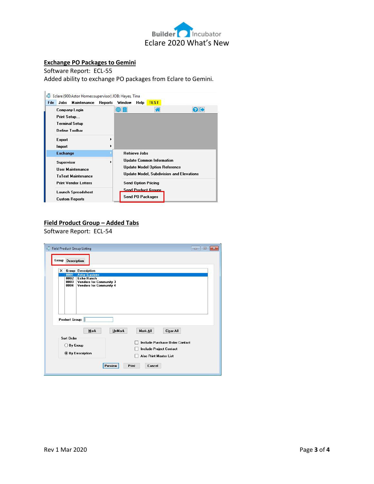

#### **Exchange PO Packages to Gemini**

Software Report: ECL-55 Added ability to exchange PO packages from Eclare to Gemini.



## **Field Product Group – Added Tabs**

Software Report: ECL-54

| Field Product Group Listing<br>$\Box$ e<br>Group<br><b>Description</b>                                                                                                                                                                                                                                                                                                                                                                       | $\mathbf{x}$ |
|----------------------------------------------------------------------------------------------------------------------------------------------------------------------------------------------------------------------------------------------------------------------------------------------------------------------------------------------------------------------------------------------------------------------------------------------|--------------|
| X Group Description<br><b>Astor Gardens</b><br>0001<br><b>Echo Ranch</b><br>0002<br>0003<br>Vendors for Community 3<br>0004<br><b>Vendors for Community 4</b><br>Product Group:  <br><b>UnMark</b><br>Mark All<br>Clear All<br><b>Mark</b><br><b>Sort Order</b><br>Include Purchase Order Contact<br>By Group<br>∩<br><b>Include Project Contact</b><br><b>By Description</b><br><b>Also Print Master List</b><br>Print<br>Cancel<br>Preview |              |